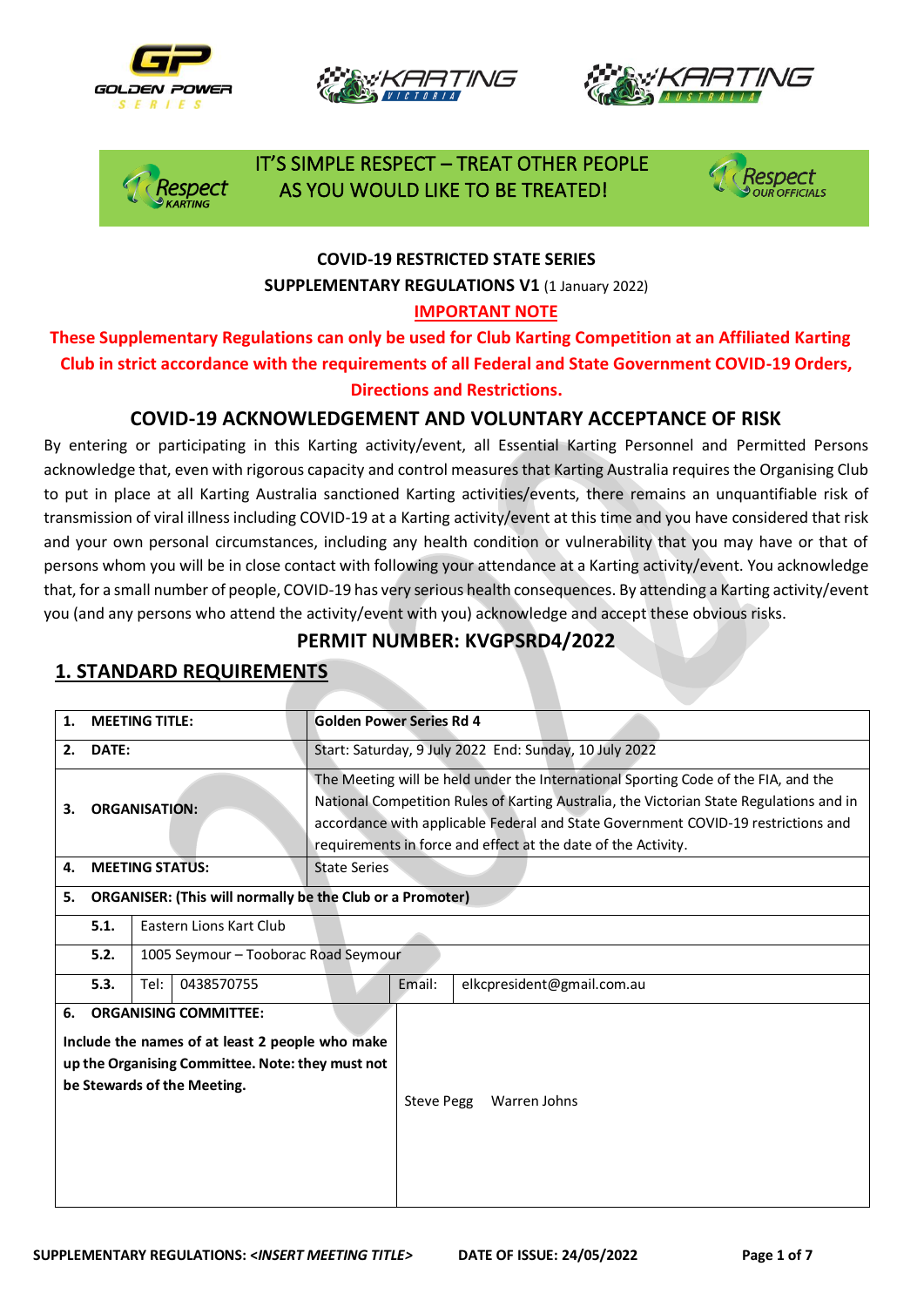







 IT'S SIMPLE RESPECT – TREAT OTHER PEOPLE spect AS YOU WOULD LIKE TO BE TREATED!



#### **COVID-19 RESTRICTED STATE SERIES SUPPLEMENTARY REGULATIONS V1** (1 January 2022)

#### **IMPORTANT NOTE**

**These Supplementary Regulations can only be used for Club Karting Competition at an Affiliated Karting Club in strict accordance with the requirements of all Federal and State Government COVID-19 Orders, Directions and Restrictions.** 

### **COVID-19 ACKNOWLEDGEMENT AND VOLUNTARY ACCEPTANCE OF RISK**

By entering or participating in this Karting activity/event, all Essential Karting Personnel and Permitted Persons acknowledge that, even with rigorous capacity and control measures that Karting Australia requires the Organising Club to put in place at all Karting Australia sanctioned Karting activities/events, there remains an unquantifiable risk of transmission of viral illness including COVID-19 at a Karting activity/event at this time and you have considered that risk and your own personal circumstances, including any health condition or vulnerability that you may have or that of persons whom you will be in close contact with following your attendance at a Karting activity/event. You acknowledge that, for a small number of people, COVID-19 has very serious health consequences. By attending a Karting activity/event you (and any persons who attend the activity/event with you) acknowledge and accept these obvious risks.

### **PERMIT NUMBER: KVGPSRD4/2022**

| <b>MEETING TITLE:</b><br>1. |                                                                                                                                                                    |                    |                                                                  | <b>Golden Power Series Rd 4</b> |                                                                                                                                                                                                                                                                                                                                     |                            |  |  |  |
|-----------------------------|--------------------------------------------------------------------------------------------------------------------------------------------------------------------|--------------------|------------------------------------------------------------------|---------------------------------|-------------------------------------------------------------------------------------------------------------------------------------------------------------------------------------------------------------------------------------------------------------------------------------------------------------------------------------|----------------------------|--|--|--|
| DATE:<br>2.                 |                                                                                                                                                                    |                    |                                                                  |                                 | Start: Saturday, 9 July 2022 End: Sunday, 10 July 2022                                                                                                                                                                                                                                                                              |                            |  |  |  |
| <b>ORGANISATION:</b><br>3.  |                                                                                                                                                                    |                    |                                                                  |                                 | The Meeting will be held under the International Sporting Code of the FIA, and the<br>National Competition Rules of Karting Australia, the Victorian State Regulations and in<br>accordance with applicable Federal and State Government COVID-19 restrictions and<br>requirements in force and effect at the date of the Activity. |                            |  |  |  |
| 4.                          | <b>MEETING STATUS:</b>                                                                                                                                             |                    |                                                                  | State Series                    |                                                                                                                                                                                                                                                                                                                                     |                            |  |  |  |
| 5.                          |                                                                                                                                                                    |                    | <b>ORGANISER: (This will normally be the Club or a Promoter)</b> |                                 |                                                                                                                                                                                                                                                                                                                                     |                            |  |  |  |
|                             | Eastern Lions Kart Club<br>5.1.                                                                                                                                    |                    |                                                                  |                                 |                                                                                                                                                                                                                                                                                                                                     |                            |  |  |  |
|                             | 5.2.<br>1005 Seymour - Tooborac Road Seymour                                                                                                                       |                    |                                                                  |                                 |                                                                                                                                                                                                                                                                                                                                     |                            |  |  |  |
|                             | 5.3.                                                                                                                                                               | Tel:<br>0438570755 |                                                                  |                                 | Email:                                                                                                                                                                                                                                                                                                                              | elkcpresident@gmail.com.au |  |  |  |
| 6.                          | <b>ORGANISING COMMITTEE:</b><br>Include the names of at least 2 people who make<br>up the Organising Committee. Note: they must not<br>be Stewards of the Meeting. |                    |                                                                  |                                 |                                                                                                                                                                                                                                                                                                                                     | Steve Pegg<br>Warren Johns |  |  |  |

### **1. STANDARD REQUIREMENTS**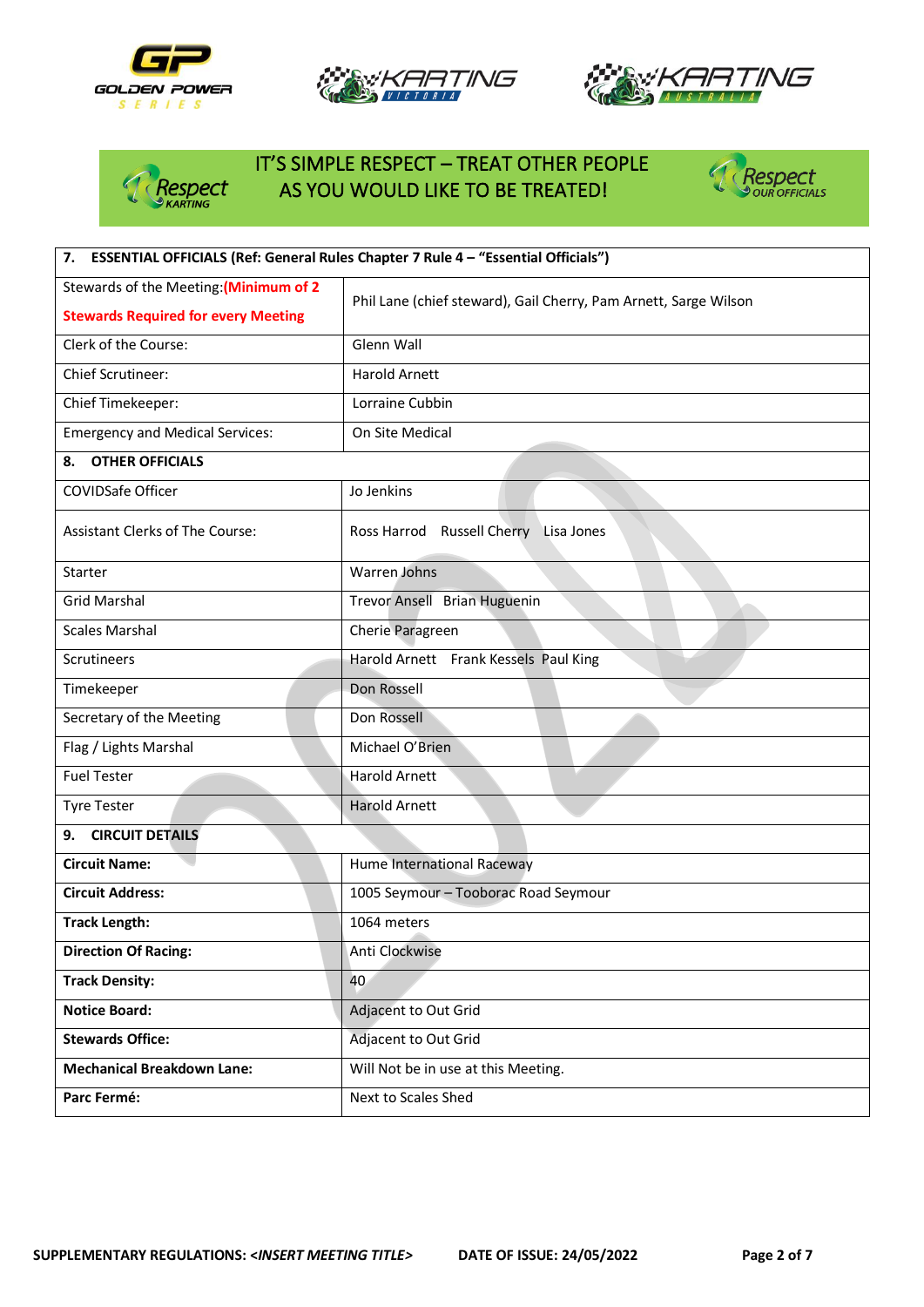







# IT'S SIMPLE RESPECT – TREAT OTHER PEOPLE<br>Respect AS YOU WOULD LIKE TO BE TREATED! AS YOU WOULD LIKE TO BE TREATED!



| ESSENTIAL OFFICIALS (Ref: General Rules Chapter 7 Rule 4 - "Essential Officials")<br>7. |                                                                  |  |  |  |  |
|-----------------------------------------------------------------------------------------|------------------------------------------------------------------|--|--|--|--|
| Stewards of the Meeting: (Minimum of 2                                                  | Phil Lane (chief steward), Gail Cherry, Pam Arnett, Sarge Wilson |  |  |  |  |
| <b>Stewards Required for every Meeting</b>                                              |                                                                  |  |  |  |  |
| Clerk of the Course:                                                                    | Glenn Wall                                                       |  |  |  |  |
| Chief Scrutineer:                                                                       | <b>Harold Arnett</b>                                             |  |  |  |  |
| Chief Timekeeper:                                                                       | Lorraine Cubbin                                                  |  |  |  |  |
| <b>Emergency and Medical Services:</b>                                                  | On Site Medical                                                  |  |  |  |  |
| <b>OTHER OFFICIALS</b><br>8.                                                            |                                                                  |  |  |  |  |
| <b>COVIDSafe Officer</b>                                                                | Jo Jenkins                                                       |  |  |  |  |
| Assistant Clerks of The Course:                                                         | Ross Harrod Russell Cherry Lisa Jones                            |  |  |  |  |
| Starter                                                                                 | <b>Warren Johns</b>                                              |  |  |  |  |
| <b>Grid Marshal</b>                                                                     | Trevor Ansell Brian Huguenin                                     |  |  |  |  |
| <b>Scales Marshal</b>                                                                   | Cherie Paragreen                                                 |  |  |  |  |
| Scrutineers                                                                             | Harold Arnett Frank Kessels Paul King                            |  |  |  |  |
| Timekeeper                                                                              | Don Rossell                                                      |  |  |  |  |
| Secretary of the Meeting                                                                | Don Rossell                                                      |  |  |  |  |
| Flag / Lights Marshal                                                                   | Michael O'Brien                                                  |  |  |  |  |
| <b>Fuel Tester</b>                                                                      | <b>Harold Arnett</b>                                             |  |  |  |  |
| <b>Tyre Tester</b>                                                                      | <b>Harold Arnett</b>                                             |  |  |  |  |
| <b>CIRCUIT DETAILS</b><br>9.                                                            |                                                                  |  |  |  |  |
| <b>Circuit Name:</b>                                                                    | Hume International Raceway                                       |  |  |  |  |
| <b>Circuit Address:</b>                                                                 | 1005 Seymour - Tooborac Road Seymour                             |  |  |  |  |
| <b>Track Length:</b>                                                                    | 1064 meters                                                      |  |  |  |  |
| <b>Direction Of Racing:</b>                                                             | Anti Clockwise                                                   |  |  |  |  |
| <b>Track Density:</b>                                                                   | 40                                                               |  |  |  |  |
| <b>Notice Board:</b>                                                                    | Adjacent to Out Grid                                             |  |  |  |  |
| <b>Stewards Office:</b>                                                                 | Adjacent to Out Grid                                             |  |  |  |  |
| <b>Mechanical Breakdown Lane:</b>                                                       | Will Not be in use at this Meeting.                              |  |  |  |  |
| Parc Fermé:                                                                             | Next to Scales Shed                                              |  |  |  |  |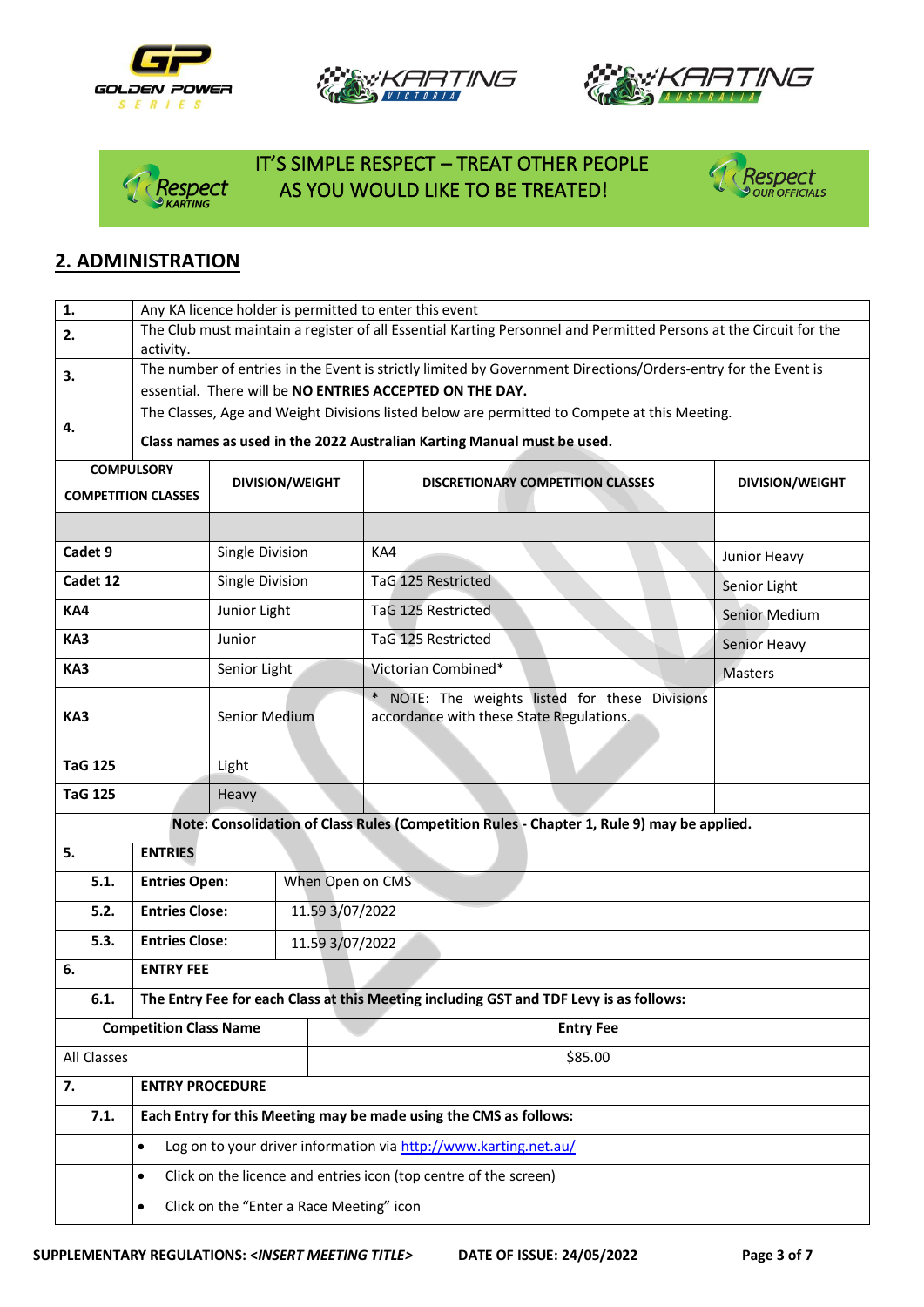







## IT'S SIMPLE RESPECT – TREAT OTHER PEOPLE AS YOU WOULD LIKE TO BE TREATED!



## **2. ADMINISTRATION**

| $\mathbf{1}$ .                                                                | Any KA licence holder is permitted to enter this event                                                                         |                                                   |                                          |                                                                                            |                        |  |  |  |  |
|-------------------------------------------------------------------------------|--------------------------------------------------------------------------------------------------------------------------------|---------------------------------------------------|------------------------------------------|--------------------------------------------------------------------------------------------|------------------------|--|--|--|--|
| 2.                                                                            | The Club must maintain a register of all Essential Karting Personnel and Permitted Persons at the Circuit for the<br>activity. |                                                   |                                          |                                                                                            |                        |  |  |  |  |
| 3.                                                                            | The number of entries in the Event is strictly limited by Government Directions/Orders-entry for the Event is                  |                                                   |                                          |                                                                                            |                        |  |  |  |  |
|                                                                               | essential. There will be NO ENTRIES ACCEPTED ON THE DAY.                                                                       |                                                   |                                          |                                                                                            |                        |  |  |  |  |
| 4.                                                                            | The Classes, Age and Weight Divisions listed below are permitted to Compete at this Meeting.                                   |                                                   |                                          |                                                                                            |                        |  |  |  |  |
|                                                                               |                                                                                                                                |                                                   |                                          | Class names as used in the 2022 Australian Karting Manual must be used.                    |                        |  |  |  |  |
|                                                                               | <b>COMPULSORY</b>                                                                                                              |                                                   | <b>DIVISION/WEIGHT</b>                   | <b>DISCRETIONARY COMPETITION CLASSES</b>                                                   | <b>DIVISION/WEIGHT</b> |  |  |  |  |
|                                                                               | <b>COMPETITION CLASSES</b>                                                                                                     |                                                   |                                          |                                                                                            |                        |  |  |  |  |
|                                                                               |                                                                                                                                |                                                   |                                          |                                                                                            |                        |  |  |  |  |
| Cadet 9                                                                       |                                                                                                                                | Single Division                                   |                                          | KA4                                                                                        | Junior Heavy           |  |  |  |  |
| Cadet 12                                                                      |                                                                                                                                | Single Division                                   |                                          | TaG 125 Restricted                                                                         | Senior Light           |  |  |  |  |
| KA4                                                                           |                                                                                                                                | Junior Light                                      |                                          | TaG 125 Restricted                                                                         | Senior Medium          |  |  |  |  |
| KA3                                                                           |                                                                                                                                | Junior                                            |                                          | TaG 125 Restricted                                                                         | Senior Heavy           |  |  |  |  |
| KA3                                                                           |                                                                                                                                | Senior Light                                      |                                          | Victorian Combined*                                                                        | <b>Masters</b>         |  |  |  |  |
| KA3                                                                           |                                                                                                                                | <b>Senior Medium</b>                              |                                          | * NOTE: The weights listed for these Divisions<br>accordance with these State Regulations. |                        |  |  |  |  |
| <b>TaG 125</b>                                                                |                                                                                                                                | Light                                             |                                          |                                                                                            |                        |  |  |  |  |
| <b>TaG 125</b>                                                                |                                                                                                                                | Heavy                                             |                                          |                                                                                            |                        |  |  |  |  |
|                                                                               |                                                                                                                                |                                                   |                                          | Note: Consolidation of Class Rules (Competition Rules - Chapter 1, Rule 9) may be applied. |                        |  |  |  |  |
| 5.                                                                            | <b>ENTRIES</b>                                                                                                                 |                                                   |                                          |                                                                                            |                        |  |  |  |  |
| 5.1.                                                                          | <b>Entries Open:</b>                                                                                                           |                                                   | When Open on CMS                         |                                                                                            |                        |  |  |  |  |
| 5.2.                                                                          | <b>Entries Close:</b>                                                                                                          |                                                   |                                          | 11.59 3/07/2022                                                                            |                        |  |  |  |  |
| 5.3.                                                                          | <b>Entries Close:</b>                                                                                                          |                                                   |                                          | 11.59 3/07/2022                                                                            |                        |  |  |  |  |
| 6.                                                                            | <b>ENTRY FEE</b>                                                                                                               |                                                   |                                          |                                                                                            |                        |  |  |  |  |
| 6.1.                                                                          | The Entry Fee for each Class at this Meeting including GST and TDF Levy is as follows:                                         |                                                   |                                          |                                                                                            |                        |  |  |  |  |
|                                                                               |                                                                                                                                | <b>Competition Class Name</b><br><b>Entry Fee</b> |                                          |                                                                                            |                        |  |  |  |  |
| All Classes                                                                   |                                                                                                                                |                                                   |                                          | \$85.00                                                                                    |                        |  |  |  |  |
| 7.                                                                            | <b>ENTRY PROCEDURE</b>                                                                                                         |                                                   |                                          |                                                                                            |                        |  |  |  |  |
| 7.1.                                                                          |                                                                                                                                |                                                   |                                          | Each Entry for this Meeting may be made using the CMS as follows:                          |                        |  |  |  |  |
| Log on to your driver information via http://www.karting.net.au/<br>$\bullet$ |                                                                                                                                |                                                   |                                          |                                                                                            |                        |  |  |  |  |
|                                                                               | $\bullet$                                                                                                                      |                                                   |                                          | Click on the licence and entries icon (top centre of the screen)                           |                        |  |  |  |  |
|                                                                               | $\bullet$                                                                                                                      |                                                   | Click on the "Enter a Race Meeting" icon |                                                                                            |                        |  |  |  |  |
|                                                                               |                                                                                                                                |                                                   |                                          |                                                                                            |                        |  |  |  |  |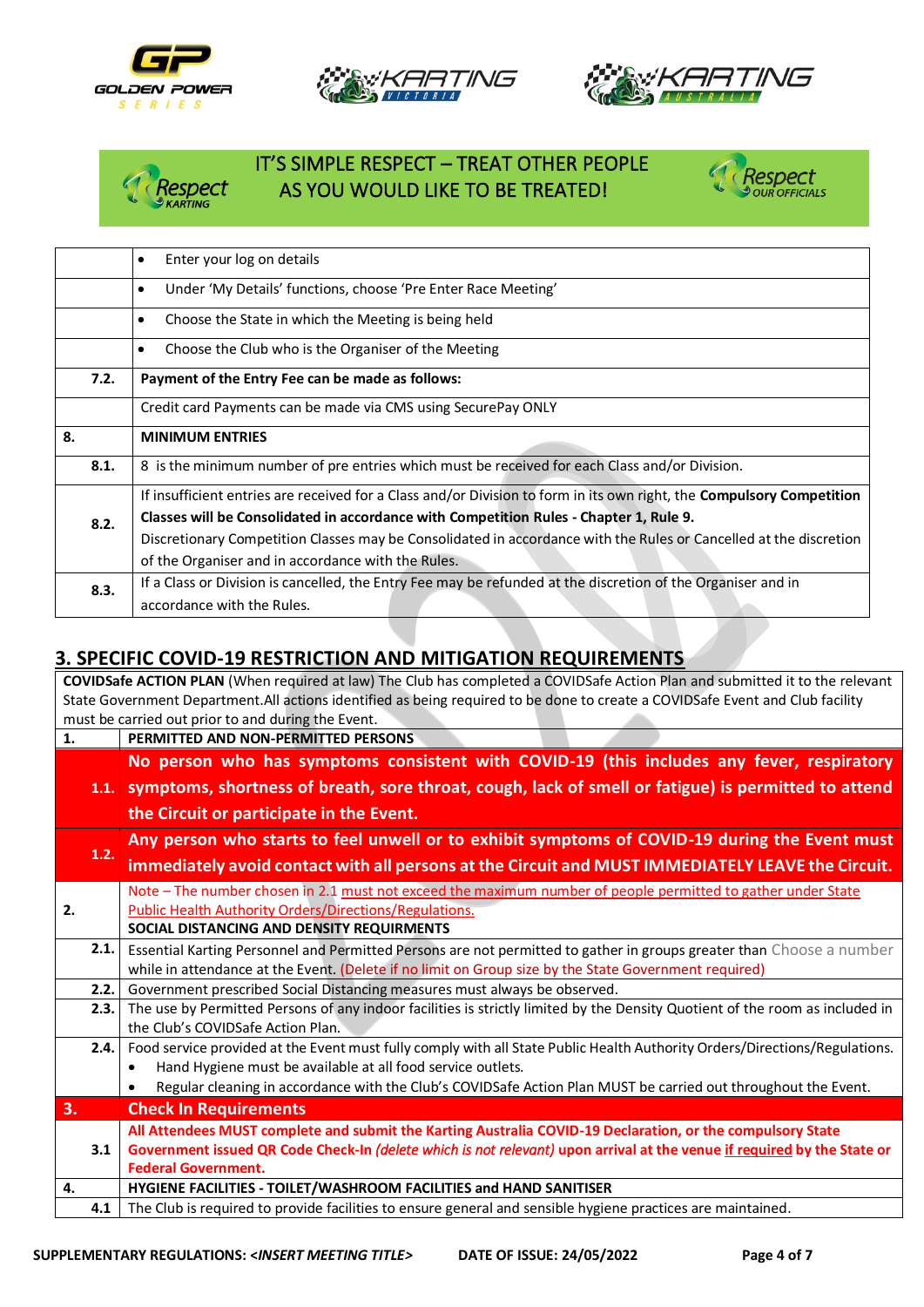







### IT'S SIMPLE RESPECT – TREAT OTHER PEOPLE AS YOU WOULD LIKE TO BE TREATED!



|      | Enter your log on details<br>$\bullet$                                                                                |  |  |  |  |  |  |
|------|-----------------------------------------------------------------------------------------------------------------------|--|--|--|--|--|--|
|      | Under 'My Details' functions, choose 'Pre Enter Race Meeting'<br>$\bullet$                                            |  |  |  |  |  |  |
|      | Choose the State in which the Meeting is being held<br>$\bullet$                                                      |  |  |  |  |  |  |
|      | Choose the Club who is the Organiser of the Meeting<br>$\bullet$                                                      |  |  |  |  |  |  |
| 7.2. | Payment of the Entry Fee can be made as follows:                                                                      |  |  |  |  |  |  |
|      | Credit card Payments can be made via CMS using SecurePay ONLY                                                         |  |  |  |  |  |  |
| 8.   | <b>MINIMUM ENTRIES</b>                                                                                                |  |  |  |  |  |  |
| 8.1. | 8 is the minimum number of pre entries which must be received for each Class and/or Division.                         |  |  |  |  |  |  |
|      | If insufficient entries are received for a Class and/or Division to form in its own right, the Compulsory Competition |  |  |  |  |  |  |
| 8.2. | Classes will be Consolidated in accordance with Competition Rules - Chapter 1, Rule 9.                                |  |  |  |  |  |  |
|      | Discretionary Competition Classes may be Consolidated in accordance with the Rules or Cancelled at the discretion     |  |  |  |  |  |  |
|      | of the Organiser and in accordance with the Rules.                                                                    |  |  |  |  |  |  |
| 8.3. | If a Class or Division is cancelled, the Entry Fee may be refunded at the discretion of the Organiser and in          |  |  |  |  |  |  |
|      | accordance with the Rules.                                                                                            |  |  |  |  |  |  |

## **3. SPECIFIC COVID-19 RESTRICTION AND MITIGATION REQUIREMENTS**

**COVIDSafe ACTION PLAN** (When required at law) The Club has completed a COVIDSafe Action Plan and submitted it to the relevant State Government Department.All actions identified as being required to be done to create a COVIDSafe Event and Club facility must be carried out prior to and during the Event. **1. PERMITTED AND NON-PERMITTED PERSONS 1.1. symptoms, shortness of breath, sore throat, cough, lack of smell or fatigue) is permitted to attend No person who has symptoms consistent with COVID-19 (this includes any fever, respiratory the Circuit or participate in the Event. 1.2. Any person who starts to feel unwell or to exhibit symptoms of COVID-19 during the Event must immediately avoid contact with all persons at the Circuit and MUST IMMEDIATELY LEAVE the Circuit. 2.** Note – The number chosen in 2.1 must not exceed the maximum number of people permitted to gather under State Public Health Authority Orders/Directions/Regulations. **SOCIAL DISTANCING AND DENSITY REQUIRMENTS**  2.1. Essential Karting Personnel and Permitted Persons are not permitted to gather in groups greater than Choose a number while in attendance at the Event. (Delete if no limit on Group size by the State Government required) **2.2.** Government prescribed Social Distancing measures must always be observed. **2.3.** The use by Permitted Persons of any indoor facilities is strictly limited by the Density Quotient of the room as included in the Club's COVIDSafe Action Plan. **2.4.** Food service provided at the Event must fully comply with all State Public Health Authority Orders/Directions/Regulations. • Hand Hygiene must be available at all food service outlets. • Regular cleaning in accordance with the Club's COVIDSafe Action Plan MUST be carried out throughout the Event. **3. Check In Requirements 3.1 All Attendees MUST complete and submit the Karting Australia COVID-19 Declaration, or the compulsory State Government issued QR Code Check-In** *(delete which is not relevant)* **upon arrival at the venue if required by the State or Federal Government. 4. HYGIENE FACILITIES - TOILET/WASHROOM FACILITIES and HAND SANITISER 4.1** The Club is required to provide facilities to ensure general and sensible hygiene practices are maintained.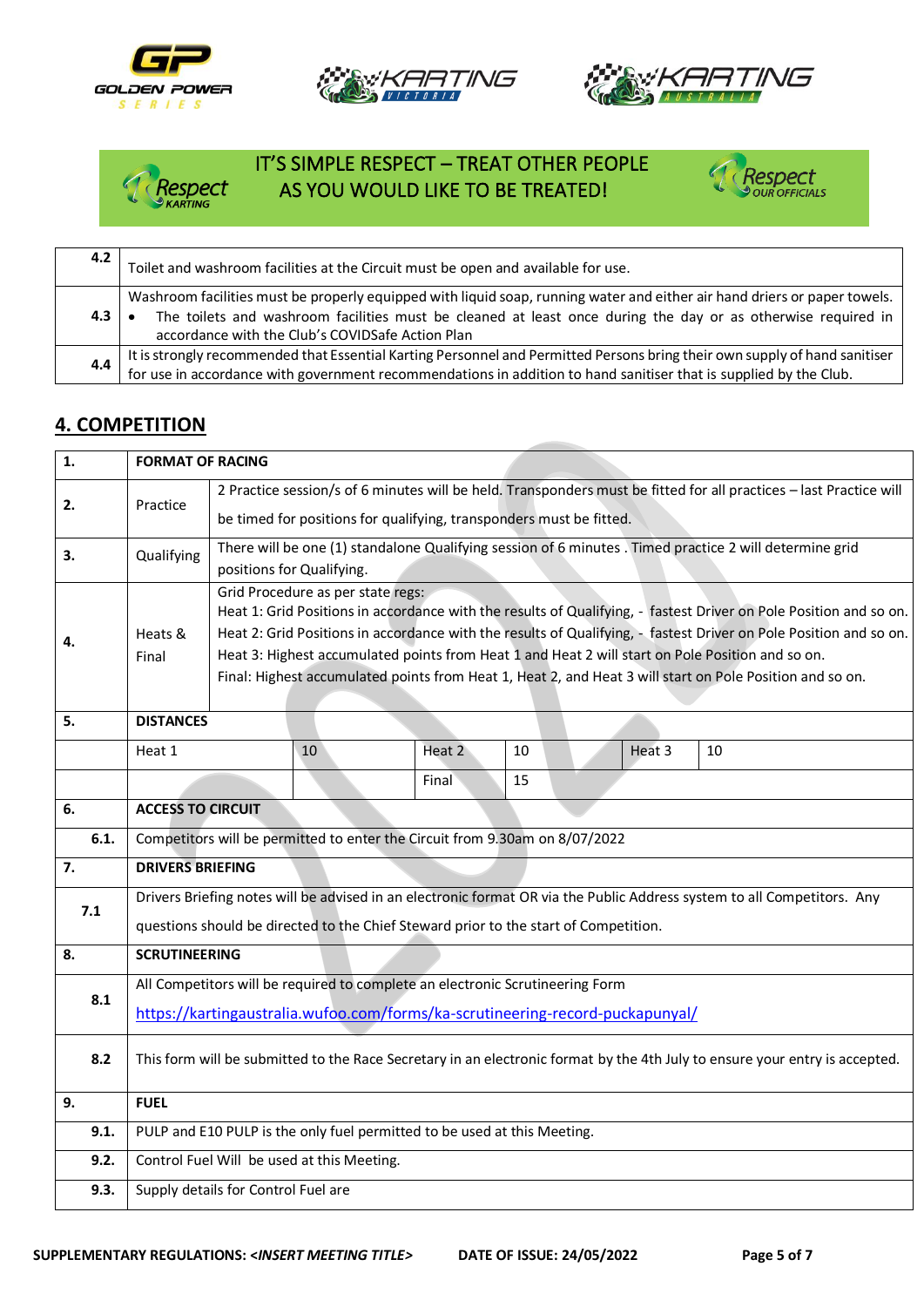







## IT'S SIMPLE RESPECT – TREAT OTHER PEOPLE<br>*Respect* AS YOU WOULD LIKE TO BE TREATED! AS YOU WOULD LIKE TO BE TREATED!



| 4.2        | Toilet and washroom facilities at the Circuit must be open and available for use.                                                                                                                                                                                                             |  |  |  |  |  |
|------------|-----------------------------------------------------------------------------------------------------------------------------------------------------------------------------------------------------------------------------------------------------------------------------------------------|--|--|--|--|--|
| $4.3 \;  $ | Washroom facilities must be properly equipped with liquid soap, running water and either air hand driers or paper towels.<br>The toilets and washroom facilities must be cleaned at least once during the day or as otherwise required in<br>accordance with the Club's COVIDSafe Action Plan |  |  |  |  |  |
|            | It is strongly recommended that Essential Karting Personnel and Permitted Persons bring their own supply of hand sanitiser<br>for use in accordance with government recommendations in addition to hand sanitiser that is supplied by the Club.                                               |  |  |  |  |  |

#### **4. COMPETITION**

| 1.   | <b>FORMAT OF RACING</b>                                                                                                        |                                                                                                                                                        |    |        |    |  |        |                                                                                                          |  |  |  |
|------|--------------------------------------------------------------------------------------------------------------------------------|--------------------------------------------------------------------------------------------------------------------------------------------------------|----|--------|----|--|--------|----------------------------------------------------------------------------------------------------------|--|--|--|
| 2.   | 2 Practice session/s of 6 minutes will be held. Transponders must be fitted for all practices - last Practice will<br>Practice |                                                                                                                                                        |    |        |    |  |        |                                                                                                          |  |  |  |
|      |                                                                                                                                | be timed for positions for qualifying, transponders must be fitted.                                                                                    |    |        |    |  |        |                                                                                                          |  |  |  |
| 3.   | Qualifying                                                                                                                     | There will be one (1) standalone Qualifying session of 6 minutes . Timed practice 2 will determine grid                                                |    |        |    |  |        |                                                                                                          |  |  |  |
|      |                                                                                                                                | positions for Qualifying.                                                                                                                              |    |        |    |  |        |                                                                                                          |  |  |  |
|      |                                                                                                                                | Grid Procedure as per state regs:<br>Heat 1: Grid Positions in accordance with the results of Qualifying, - fastest Driver on Pole Position and so on. |    |        |    |  |        |                                                                                                          |  |  |  |
|      | Heat 2: Grid Positions in accordance with the results of Qualifying, - fastest Driver on Pole Position and so on.<br>Heats &   |                                                                                                                                                        |    |        |    |  |        |                                                                                                          |  |  |  |
| 4.   | Final                                                                                                                          |                                                                                                                                                        |    |        |    |  |        | Heat 3: Highest accumulated points from Heat 1 and Heat 2 will start on Pole Position and so on.         |  |  |  |
|      |                                                                                                                                |                                                                                                                                                        |    |        |    |  |        | Final: Highest accumulated points from Heat 1, Heat 2, and Heat 3 will start on Pole Position and so on. |  |  |  |
|      |                                                                                                                                |                                                                                                                                                        |    |        |    |  |        |                                                                                                          |  |  |  |
| 5.   | <b>DISTANCES</b>                                                                                                               |                                                                                                                                                        |    |        |    |  |        |                                                                                                          |  |  |  |
|      | Heat 1                                                                                                                         |                                                                                                                                                        | 10 | Heat 2 | 10 |  | Heat 3 | 10                                                                                                       |  |  |  |
|      |                                                                                                                                |                                                                                                                                                        |    | Final  | 15 |  |        |                                                                                                          |  |  |  |
| 6.   | <b>ACCESS TO CIRCUIT</b>                                                                                                       |                                                                                                                                                        |    |        |    |  |        |                                                                                                          |  |  |  |
| 6.1. | Competitors will be permitted to enter the Circuit from 9.30am on 8/07/2022                                                    |                                                                                                                                                        |    |        |    |  |        |                                                                                                          |  |  |  |
| 7.   | <b>DRIVERS BRIEFING</b>                                                                                                        |                                                                                                                                                        |    |        |    |  |        |                                                                                                          |  |  |  |
| 7.1  | Drivers Briefing notes will be advised in an electronic format OR via the Public Address system to all Competitors. Any        |                                                                                                                                                        |    |        |    |  |        |                                                                                                          |  |  |  |
|      | questions should be directed to the Chief Steward prior to the start of Competition.                                           |                                                                                                                                                        |    |        |    |  |        |                                                                                                          |  |  |  |
| 8.   | <b>SCRUTINEERING</b>                                                                                                           |                                                                                                                                                        |    |        |    |  |        |                                                                                                          |  |  |  |
|      | All Competitors will be required to complete an electronic Scrutineering Form                                                  |                                                                                                                                                        |    |        |    |  |        |                                                                                                          |  |  |  |
| 8.1  | https://kartingaustralia.wufoo.com/forms/ka-scrutineering-record-puckapunyal/                                                  |                                                                                                                                                        |    |        |    |  |        |                                                                                                          |  |  |  |
|      |                                                                                                                                |                                                                                                                                                        |    |        |    |  |        |                                                                                                          |  |  |  |
| 8.2  | This form will be submitted to the Race Secretary in an electronic format by the 4th July to ensure your entry is accepted.    |                                                                                                                                                        |    |        |    |  |        |                                                                                                          |  |  |  |
| 9.   |                                                                                                                                |                                                                                                                                                        |    |        |    |  |        |                                                                                                          |  |  |  |
| 9.1. | <b>FUEL</b><br>PULP and E10 PULP is the only fuel permitted to be used at this Meeting.                                        |                                                                                                                                                        |    |        |    |  |        |                                                                                                          |  |  |  |
|      |                                                                                                                                |                                                                                                                                                        |    |        |    |  |        |                                                                                                          |  |  |  |
| 9.2. | Control Fuel Will be used at this Meeting.                                                                                     |                                                                                                                                                        |    |        |    |  |        |                                                                                                          |  |  |  |
| 9.3. | Supply details for Control Fuel are                                                                                            |                                                                                                                                                        |    |        |    |  |        |                                                                                                          |  |  |  |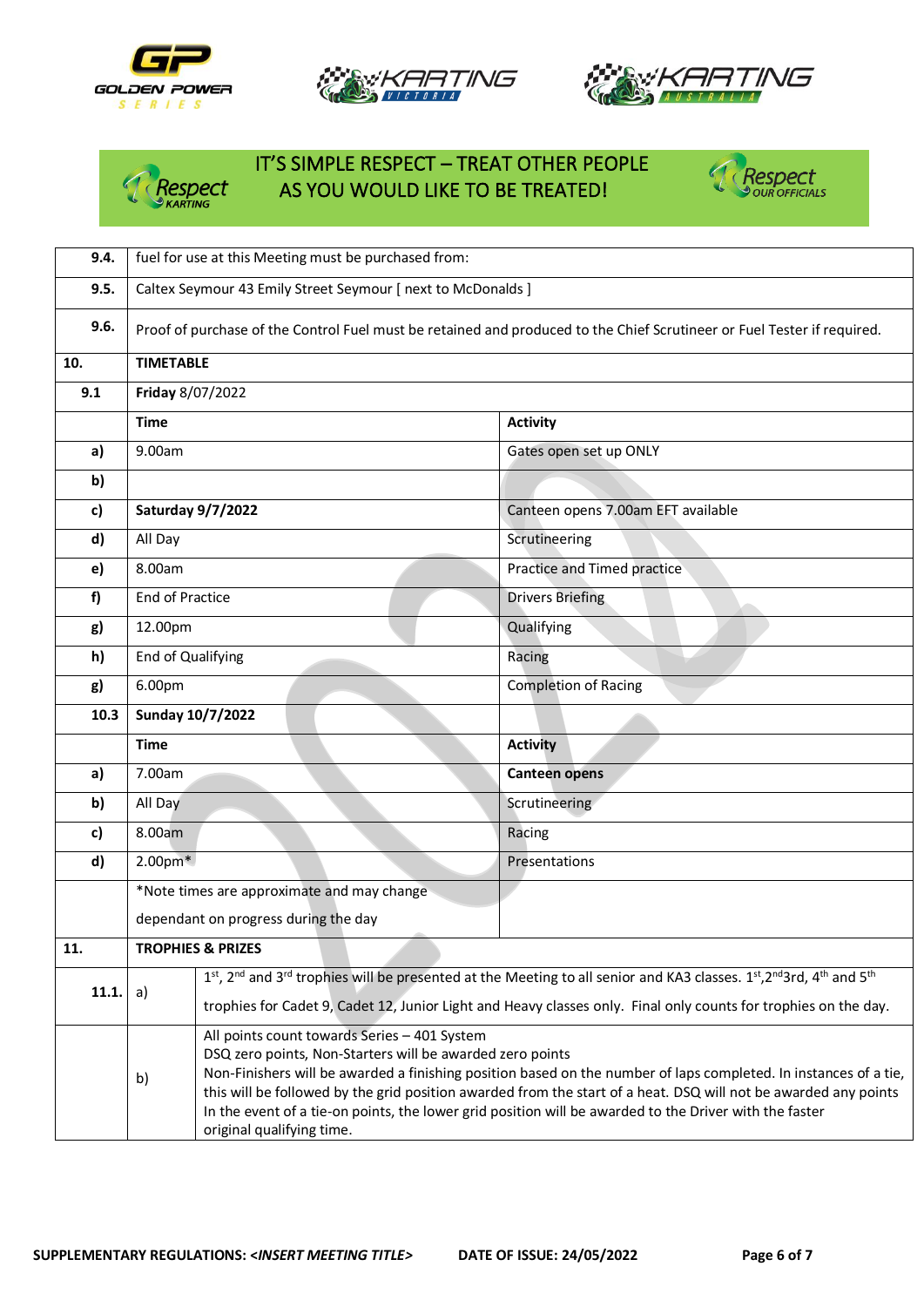

**10. TIMETABLE**

**9.1 Friday** 8/07/2022





Respect

## IT'S SIMPLE RESPECT – TREAT OTHER PEOPLE *PESPECT AS YOU WOULD LIKE TO BE TREATED!*



|       | Time                                                                                                                                                                                                                                                                                                                                                                                                                                                                                          |                                            | <b>Activity</b>                                                                                                                                                                 |  |  |  |
|-------|-----------------------------------------------------------------------------------------------------------------------------------------------------------------------------------------------------------------------------------------------------------------------------------------------------------------------------------------------------------------------------------------------------------------------------------------------------------------------------------------------|--------------------------------------------|---------------------------------------------------------------------------------------------------------------------------------------------------------------------------------|--|--|--|
| a)    | 9.00am                                                                                                                                                                                                                                                                                                                                                                                                                                                                                        |                                            | Gates open set up ONLY                                                                                                                                                          |  |  |  |
| b)    |                                                                                                                                                                                                                                                                                                                                                                                                                                                                                               |                                            |                                                                                                                                                                                 |  |  |  |
| c)    |                                                                                                                                                                                                                                                                                                                                                                                                                                                                                               | <b>Saturday 9/7/2022</b>                   | Canteen opens 7.00am EFT available                                                                                                                                              |  |  |  |
| d)    | All Day                                                                                                                                                                                                                                                                                                                                                                                                                                                                                       |                                            | Scrutineering                                                                                                                                                                   |  |  |  |
| e)    | 8.00am                                                                                                                                                                                                                                                                                                                                                                                                                                                                                        |                                            | Practice and Timed practice                                                                                                                                                     |  |  |  |
| f     | <b>End of Practice</b>                                                                                                                                                                                                                                                                                                                                                                                                                                                                        |                                            | <b>Drivers Briefing</b>                                                                                                                                                         |  |  |  |
| g)    | 12.00pm                                                                                                                                                                                                                                                                                                                                                                                                                                                                                       |                                            | Qualifying                                                                                                                                                                      |  |  |  |
| h)    | End of Qualifying                                                                                                                                                                                                                                                                                                                                                                                                                                                                             |                                            | Racing                                                                                                                                                                          |  |  |  |
| g)    | 6.00pm                                                                                                                                                                                                                                                                                                                                                                                                                                                                                        |                                            | <b>Completion of Racing</b>                                                                                                                                                     |  |  |  |
| 10.3  |                                                                                                                                                                                                                                                                                                                                                                                                                                                                                               | Sunday 10/7/2022                           |                                                                                                                                                                                 |  |  |  |
|       | <b>Time</b>                                                                                                                                                                                                                                                                                                                                                                                                                                                                                   |                                            | <b>Activity</b>                                                                                                                                                                 |  |  |  |
| a)    | 7.00am                                                                                                                                                                                                                                                                                                                                                                                                                                                                                        |                                            | <b>Canteen opens</b>                                                                                                                                                            |  |  |  |
| b)    | All Day                                                                                                                                                                                                                                                                                                                                                                                                                                                                                       |                                            | Scrutineering                                                                                                                                                                   |  |  |  |
| c)    | 8.00am                                                                                                                                                                                                                                                                                                                                                                                                                                                                                        |                                            | Racing                                                                                                                                                                          |  |  |  |
| d)    | $2.00pm*$                                                                                                                                                                                                                                                                                                                                                                                                                                                                                     |                                            | Presentations                                                                                                                                                                   |  |  |  |
|       |                                                                                                                                                                                                                                                                                                                                                                                                                                                                                               | *Note times are approximate and may change |                                                                                                                                                                                 |  |  |  |
|       |                                                                                                                                                                                                                                                                                                                                                                                                                                                                                               | dependant on progress during the day       |                                                                                                                                                                                 |  |  |  |
| 11.   | <b>TROPHIES &amp; PRIZES</b>                                                                                                                                                                                                                                                                                                                                                                                                                                                                  |                                            |                                                                                                                                                                                 |  |  |  |
| 11.1. | a)                                                                                                                                                                                                                                                                                                                                                                                                                                                                                            |                                            | 1st, 2 <sup>nd</sup> and 3 <sup>rd</sup> trophies will be presented at the Meeting to all senior and KA3 classes. 1st, 2 <sup>nd</sup> 3rd, 4 <sup>th</sup> and 5 <sup>th</sup> |  |  |  |
|       |                                                                                                                                                                                                                                                                                                                                                                                                                                                                                               |                                            | trophies for Cadet 9, Cadet 12, Junior Light and Heavy classes only. Final only counts for trophies on the day.                                                                 |  |  |  |
|       | All points count towards Series - 401 System<br>DSQ zero points, Non-Starters will be awarded zero points<br>Non-Finishers will be awarded a finishing position based on the number of laps completed. In instances of a tie,<br>b)<br>this will be followed by the grid position awarded from the start of a heat. DSQ will not be awarded any points<br>In the event of a tie-on points, the lower grid position will be awarded to the Driver with the faster<br>original qualifying time. |                                            |                                                                                                                                                                                 |  |  |  |